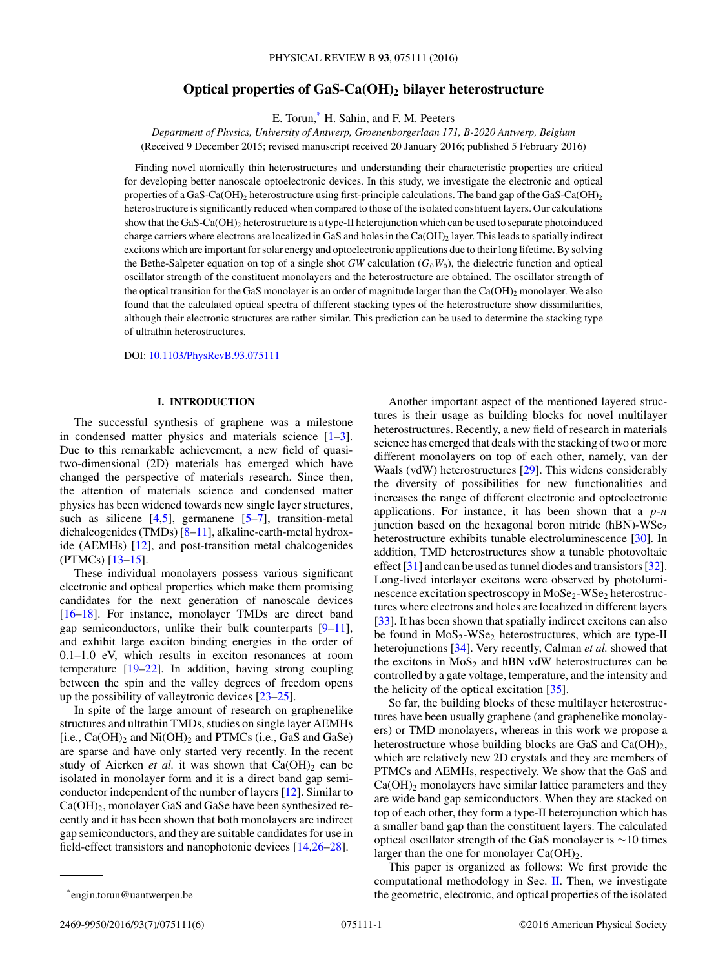# **Optical properties of GaS-Ca(OH)2 bilayer heterostructure**

E. Torun,\* H. Sahin, and F. M. Peeters

*Department of Physics, University of Antwerp, Groenenborgerlaan 171, B-2020 Antwerp, Belgium* (Received 9 December 2015; revised manuscript received 20 January 2016; published 5 February 2016)

Finding novel atomically thin heterostructures and understanding their characteristic properties are critical for developing better nanoscale optoelectronic devices. In this study, we investigate the electronic and optical properties of a GaS-Ca(OH)<sub>2</sub> heterostructure using first-principle calculations. The band gap of the GaS-Ca(OH)<sub>2</sub> heterostructure is significantly reduced when compared to those of the isolated constituent layers. Our calculations show that the GaS-Ca(OH)<sub>2</sub> heterostructure is a type-II heterojunction which can be used to separate photoinduced charge carriers where electrons are localized in GaS and holes in the  $Ca(OH)_2$  layer. This leads to spatially indirect excitons which are important for solar energy and optoelectronic applications due to their long lifetime. By solving the Bethe-Salpeter equation on top of a single shot *GW* calculation  $(G_0W_0)$ , the dielectric function and optical oscillator strength of the constituent monolayers and the heterostructure are obtained. The oscillator strength of the optical transition for the GaS monolayer is an order of magnitude larger than the  $Ca(OH)_2$  monolayer. We also found that the calculated optical spectra of different stacking types of the heterostructure show dissimilarities, although their electronic structures are rather similar. This prediction can be used to determine the stacking type of ultrathin heterostructures.

DOI: [10.1103/PhysRevB.93.075111](http://dx.doi.org/10.1103/PhysRevB.93.075111)

### **I. INTRODUCTION**

The successful synthesis of graphene was a milestone in condensed matter physics and materials science [\[1–3\]](#page-4-0). Due to this remarkable achievement, a new field of quasitwo-dimensional (2D) materials has emerged which have changed the perspective of materials research. Since then, the attention of materials science and condensed matter physics has been widened towards new single layer structures, such as silicene [\[4,5\]](#page-4-0), germanene [\[5–7\]](#page-4-0), transition-metal dichalcogenides (TMDs) [\[8–11\]](#page-4-0), alkaline-earth-metal hydroxide (AEMHs) [\[12\]](#page-4-0), and post-transition metal chalcogenides (PTMCs) [\[13–15\]](#page-4-0).

These individual monolayers possess various significant electronic and optical properties which make them promising candidates for the next generation of nanoscale devices [\[16–18\]](#page-4-0). For instance, monolayer TMDs are direct band gap semiconductors, unlike their bulk counterparts [\[9–11\]](#page-4-0), and exhibit large exciton binding energies in the order of 0.1–1.0 eV, which results in exciton resonances at room temperature [\[19](#page-4-0)[–22\]](#page-5-0). In addition, having strong coupling between the spin and the valley degrees of freedom opens up the possibility of valleytronic devices [\[23–25\]](#page-5-0).

In spite of the large amount of research on graphenelike structures and ultrathin TMDs, studies on single layer AEMHs [i.e.,  $Ca(OH)_2$  and  $Ni(OH)_2$  and PTMCs (i.e., GaS and GaSe) are sparse and have only started very recently. In the recent study of Aierken *et al.* it was shown that  $Ca(OH)_2$  can be isolated in monolayer form and it is a direct band gap semiconductor independent of the number of layers [\[12\]](#page-4-0). Similar to Ca(OH)2, monolayer GaS and GaSe have been synthesized recently and it has been shown that both monolayers are indirect gap semiconductors, and they are suitable candidates for use in field-effect transistors and nanophotonic devices [\[14](#page-4-0)[,26–28\]](#page-5-0).

Another important aspect of the mentioned layered structures is their usage as building blocks for novel multilayer heterostructures. Recently, a new field of research in materials science has emerged that deals with the stacking of two or more different monolayers on top of each other, namely, van der Waals (vdW) heterostructures [\[29\]](#page-5-0). This widens considerably the diversity of possibilities for new functionalities and increases the range of different electronic and optoelectronic applications. For instance, it has been shown that a *p*-*n* junction based on the hexagonal boron nitride  $(hBN)-WSe<sub>2</sub>$ heterostructure exhibits tunable electroluminescence [\[30\]](#page-5-0). In addition, TMD heterostructures show a tunable photovoltaic effect [\[31\]](#page-5-0) and can be used as tunnel diodes and transistors [\[32\]](#page-5-0). Long-lived interlayer excitons were observed by photoluminescence excitation spectroscopy in  $MoSe<sub>2</sub>-WSe<sub>2</sub>$  heterostructures where electrons and holes are localized in different layers [\[33\]](#page-5-0). It has been shown that spatially indirect excitons can also be found in  $MoS_2-WSe_2$  heterostructures, which are type-II heterojunctions [\[34\]](#page-5-0). Very recently, Calman *et al.* showed that the excitons in  $MoS<sub>2</sub>$  and hBN vdW heterostructures can be controlled by a gate voltage, temperature, and the intensity and the helicity of the optical excitation [\[35\]](#page-5-0).

So far, the building blocks of these multilayer heterostructures have been usually graphene (and graphenelike monolayers) or TMD monolayers, whereas in this work we propose a heterostructure whose building blocks are GaS and  $Ca(OH)_2$ , which are relatively new 2D crystals and they are members of PTMCs and AEMHs, respectively. We show that the GaS and  $Ca(OH)_2$  monolayers have similar lattice parameters and they are wide band gap semiconductors. When they are stacked on top of each other, they form a type-II heterojunction which has a smaller band gap than the constituent layers. The calculated optical oscillator strength of the GaS monolayer is ∼10 times larger than the one for monolayer  $Ca(OH)_2$ .

This paper is organized as follows: We first provide the computational methodology in Sec. [II.](#page-1-0) Then, we investigate the geometric, electronic, and optical properties of the isolated

<sup>\*</sup>engin.torun@uantwerpen.be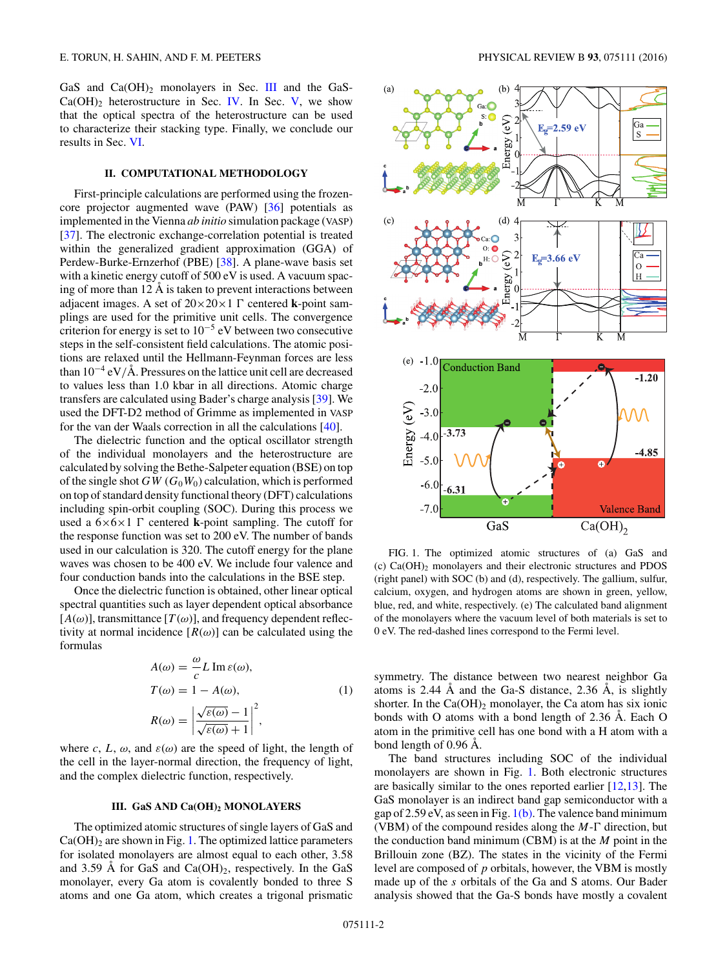<span id="page-1-0"></span>GaS and  $Ca(OH)_2$  monolayers in Sec. III and the GaS- $Ca(OH)_2$  heterostructure in Sec. [IV.](#page-2-0) In Sec. [V,](#page-3-0) we show that the optical spectra of the heterostructure can be used to characterize their stacking type. Finally, we conclude our results in Sec. [VI.](#page-4-0)

#### **II. COMPUTATIONAL METHODOLOGY**

First-principle calculations are performed using the frozencore projector augmented wave (PAW) [\[36\]](#page-5-0) potentials as implemented in the Vienna *ab initio* simulation package (VASP) [\[37\]](#page-5-0). The electronic exchange-correlation potential is treated within the generalized gradient approximation (GGA) of Perdew-Burke-Ernzerhof (PBE) [\[38\]](#page-5-0). A plane-wave basis set with a kinetic energy cutoff of 500 eV is used. A vacuum spacing of more than 12  $\AA$  is taken to prevent interactions between adjacent images. A set of  $20 \times 20 \times 1$  *C* centered **k**-point samplings are used for the primitive unit cells. The convergence criterion for energy is set to  $10^{-5}$  eV between two consecutive steps in the self-consistent field calculations. The atomic positions are relaxed until the Hellmann-Feynman forces are less than 10−<sup>4</sup> eV*/*A. Pressures on the lattice unit cell are decreased ˚ to values less than 1.0 kbar in all directions. Atomic charge transfers are calculated using Bader's charge analysis [\[39\]](#page-5-0). We used the DFT-D2 method of Grimme as implemented in VASP for the van der Waals correction in all the calculations [\[40\]](#page-5-0).

The dielectric function and the optical oscillator strength of the individual monolayers and the heterostructure are calculated by solving the Bethe-Salpeter equation (BSE) on top of the single shot  $GW(G_0W_0)$  calculation, which is performed on top of standard density functional theory (DFT) calculations including spin-orbit coupling (SOC). During this process we used a  $6 \times 6 \times 1$   $\Gamma$  centered **k**-point sampling. The cutoff for the response function was set to 200 eV. The number of bands used in our calculation is 320. The cutoff energy for the plane waves was chosen to be 400 eV. We include four valence and four conduction bands into the calculations in the BSE step.

Once the dielectric function is obtained, other linear optical spectral quantities such as layer dependent optical absorbance  $[A(\omega)]$ , transmittance  $[T(\omega)]$ , and frequency dependent reflectivity at normal incidence  $[R(\omega)]$  can be calculated using the formulas

$$
A(\omega) = \frac{\omega}{c} L \operatorname{Im} \varepsilon(\omega),
$$
  
\n
$$
T(\omega) = 1 - A(\omega),
$$
  
\n
$$
R(\omega) = \left| \frac{\sqrt{\varepsilon(\omega)} - 1}{\sqrt{\varepsilon(\omega)} + 1} \right|^2,
$$
\n(1)

where *c*, *L*,  $\omega$ , and  $\varepsilon(\omega)$  are the speed of light, the length of the cell in the layer-normal direction, the frequency of light, and the complex dielectric function, respectively.

### **III. GaS AND Ca(OH)2 MONOLAYERS**

The optimized atomic structures of single layers of GaS and  $Ca(OH)_2$  are shown in Fig. 1. The optimized lattice parameters for isolated monolayers are almost equal to each other, 3.58 and 3.59 Å for GaS and  $Ca(OH)_2$ , respectively. In the GaS monolayer, every Ga atom is covalently bonded to three S atoms and one Ga atom, which creates a trigonal prismatic



FIG. 1. The optimized atomic structures of (a) GaS and (c) Ca(OH)2 monolayers and their electronic structures and PDOS (right panel) with SOC (b) and (d), respectively. The gallium, sulfur, calcium, oxygen, and hydrogen atoms are shown in green, yellow, blue, red, and white, respectively. (e) The calculated band alignment of the monolayers where the vacuum level of both materials is set to 0 eV. The red-dashed lines correspond to the Fermi level.

symmetry. The distance between two nearest neighbor Ga atoms is 2.44  $\AA$  and the Ga-S distance, 2.36  $\AA$ , is slightly shorter. In the  $Ca(OH)_2$  monolayer, the Ca atom has six ionic bonds with O atoms with a bond length of  $2.36$  Å. Each O atom in the primitive cell has one bond with a H atom with a bond length of  $0.96 \text{ Å}$ .

The band structures including SOC of the individual monolayers are shown in Fig. 1. Both electronic structures are basically similar to the ones reported earlier [\[12,13\]](#page-4-0). The GaS monolayer is an indirect band gap semiconductor with a gap of  $2.59 \text{ eV}$ , as seen in Fig.  $1(b)$ . The valence band minimum (VBM) of the compound resides along the  $M$ - $\Gamma$  direction, but the conduction band minimum (CBM) is at the *M* point in the Brillouin zone (BZ). The states in the vicinity of the Fermi level are composed of *p* orbitals, however, the VBM is mostly made up of the *s* orbitals of the Ga and S atoms. Our Bader analysis showed that the Ga-S bonds have mostly a covalent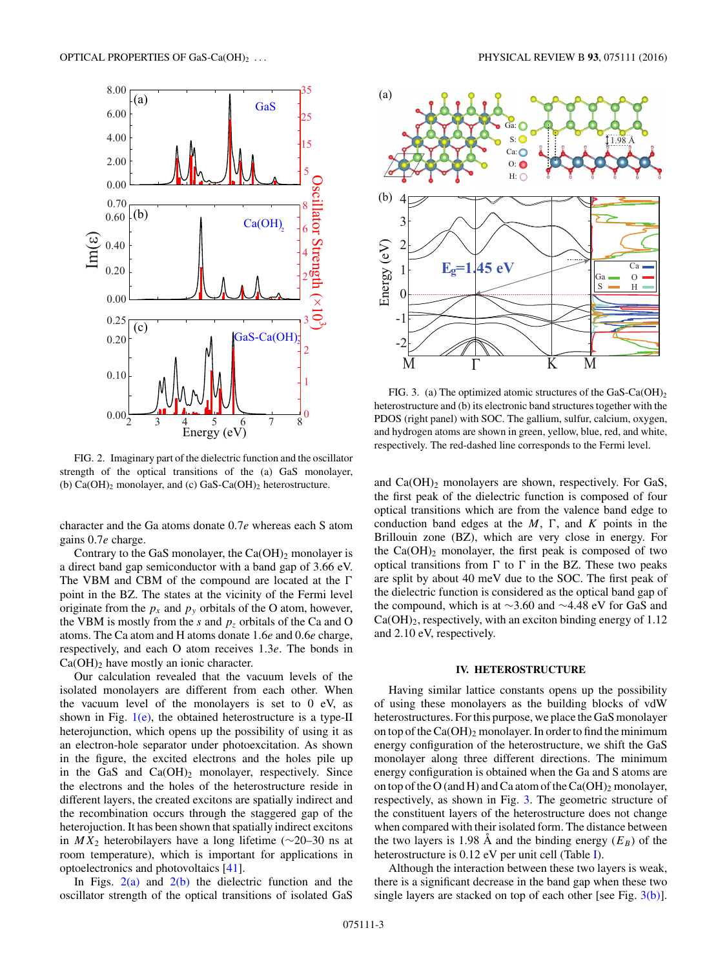<span id="page-2-0"></span>

FIG. 2. Imaginary part of the dielectric function and the oscillator strength of the optical transitions of the (a) GaS monolayer, (b)  $Ca(OH)_2$  monolayer, and (c)  $GaS-Ca(OH)_2$  heterostructure.

character and the Ga atoms donate 0*.*7*e* whereas each S atom gains 0*.*7*e* charge.

Contrary to the GaS monolayer, the  $Ca(OH)_2$  monolayer is a direct band gap semiconductor with a band gap of 3.66 eV. The VBM and CBM of the compound are located at the  $\Gamma$ point in the BZ. The states at the vicinity of the Fermi level originate from the  $p_x$  and  $p_y$  orbitals of the O atom, however, the VBM is mostly from the  $s$  and  $p<sub>z</sub>$  orbitals of the Ca and O atoms. The Ca atom and H atoms donate 1*.*6*e* and 0*.*6*e* charge, respectively, and each O atom receives 1*.*3*e*. The bonds in  $Ca(OH)<sub>2</sub>$  have mostly an ionic character.

Our calculation revealed that the vacuum levels of the isolated monolayers are different from each other. When the vacuum level of the monolayers is set to 0 eV, as shown in Fig.  $1(e)$ , the obtained heterostructure is a type-II heterojunction, which opens up the possibility of using it as an electron-hole separator under photoexcitation. As shown in the figure, the excited electrons and the holes pile up in the GaS and  $Ca(OH)_2$  monolayer, respectively. Since the electrons and the holes of the heterostructure reside in different layers, the created excitons are spatially indirect and the recombination occurs through the staggered gap of the heterojuction. It has been shown that spatially indirect excitons in  $MX_2$  heterobilayers have a long lifetime ( $\sim$ 20–30 ns at room temperature), which is important for applications in optoelectronics and photovoltaics [\[41\]](#page-5-0).

In Figs.  $2(a)$  and  $2(b)$  the dielectric function and the oscillator strength of the optical transitions of isolated GaS



FIG. 3. (a) The optimized atomic structures of the GaS-Ca(OH)<sub>2</sub> heterostructure and (b) its electronic band structures together with the PDOS (right panel) with SOC. The gallium, sulfur, calcium, oxygen, and hydrogen atoms are shown in green, yellow, blue, red, and white, respectively. The red-dashed line corresponds to the Fermi level.

and  $Ca(OH)_2$  monolayers are shown, respectively. For GaS, the first peak of the dielectric function is composed of four optical transitions which are from the valence band edge to conduction band edges at the  $M$ ,  $\Gamma$ , and  $K$  points in the Brillouin zone (BZ), which are very close in energy. For the  $Ca(OH)_2$  monolayer, the first peak is composed of two optical transitions from  $\Gamma$  to  $\Gamma$  in the BZ. These two peaks are split by about 40 meV due to the SOC. The first peak of the dielectric function is considered as the optical band gap of the compound, which is at ∼3.60 and ∼4.48 eV for GaS and  $Ca(OH)_2$ , respectively, with an exciton binding energy of 1.12 and 2.10 eV, respectively.

# **IV. HETEROSTRUCTURE**

Having similar lattice constants opens up the possibility of using these monolayers as the building blocks of vdW heterostructures. For this purpose, we place the GaS monolayer on top of the  $Ca(OH)_2$  monolayer. In order to find the minimum energy configuration of the heterostructure, we shift the GaS monolayer along three different directions. The minimum energy configuration is obtained when the Ga and S atoms are on top of the O (and H) and Ca atom of the Ca(OH)<sub>2</sub> monolayer, respectively, as shown in Fig. 3. The geometric structure of the constituent layers of the heterostructure does not change when compared with their isolated form. The distance between the two layers is 1.98  $\AA$  and the binding energy  $(E_B)$  of the heterostructure is 0.12 eV per unit cell (Table [I\)](#page-3-0).

Although the interaction between these two layers is weak, there is a significant decrease in the band gap when these two single layers are stacked on top of each other [see Fig. 3(b)].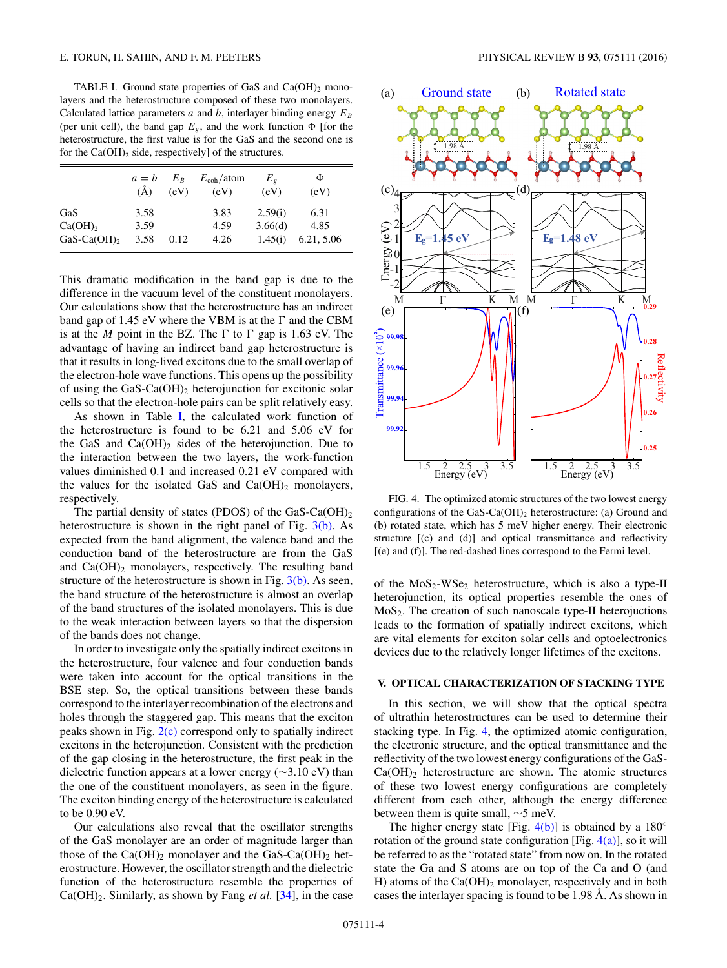<span id="page-3-0"></span>TABLE I. Ground state properties of GaS and  $Ca(OH)_{2}$  monolayers and the heterostructure composed of these two monolayers. Calculated lattice parameters  $a$  and  $b$ , interlayer binding energy  $E_B$ (per unit cell), the band gap  $E_g$ , and the work function  $\Phi$  [for the heterostructure, the first value is for the GaS and the second one is for the  $Ca(OH)_2$  side, respectively] of the structures.

|              | $a = b$<br>$(\AA)$ | $E_R$<br>(eV) | $E_{\rm coh}/\text{atom}$<br>(eV) | $E_{\sigma}$<br>(eV) | Φ<br>(eV)  |
|--------------|--------------------|---------------|-----------------------------------|----------------------|------------|
| GaS          | 3.58               |               | 3.83                              | 2.59(i)              | 6.31       |
| $Ca(OH)_{2}$ | 3.59               |               | 4.59                              | 3.66(d)              | 4.85       |
| $GaS-Ca(OH)$ | 3.58               | 0.12          | 4.26                              | 1.45(i)              | 6.21, 5.06 |

This dramatic modification in the band gap is due to the difference in the vacuum level of the constituent monolayers. Our calculations show that the heterostructure has an indirect band gap of 1.45 eV where the VBM is at the  $\Gamma$  and the CBM is at the *M* point in the BZ. The  $\Gamma$  to  $\Gamma$  gap is 1.63 eV. The advantage of having an indirect band gap heterostructure is that it results in long-lived excitons due to the small overlap of the electron-hole wave functions. This opens up the possibility of using the GaS-Ca(OH)<sub>2</sub> heterojunction for excitonic solar cells so that the electron-hole pairs can be split relatively easy.

As shown in Table I, the calculated work function of the heterostructure is found to be 6.21 and 5.06 eV for the GaS and  $Ca(OH)_2$  sides of the heterojunction. Due to the interaction between the two layers, the work-function values diminished 0.1 and increased 0.21 eV compared with the values for the isolated GaS and  $Ca(OH)_2$  monolayers, respectively.

The partial density of states (PDOS) of the GaS-Ca(OH)<sub>2</sub> heterostructure is shown in the right panel of Fig.  $3(b)$ . As expected from the band alignment, the valence band and the conduction band of the heterostructure are from the GaS and  $Ca(OH)_2$  monolayers, respectively. The resulting band structure of the heterostructure is shown in Fig.  $3(b)$ . As seen, the band structure of the heterostructure is almost an overlap of the band structures of the isolated monolayers. This is due to the weak interaction between layers so that the dispersion of the bands does not change.

In order to investigate only the spatially indirect excitons in the heterostructure, four valence and four conduction bands were taken into account for the optical transitions in the BSE step. So, the optical transitions between these bands correspond to the interlayer recombination of the electrons and holes through the staggered gap. This means that the exciton peaks shown in Fig.  $2(c)$  correspond only to spatially indirect excitons in the heterojunction. Consistent with the prediction of the gap closing in the heterostructure, the first peak in the dielectric function appears at a lower energy (∼3.10 eV) than the one of the constituent monolayers, as seen in the figure. The exciton binding energy of the heterostructure is calculated to be 0.90 eV.

Our calculations also reveal that the oscillator strengths of the GaS monolayer are an order of magnitude larger than those of the  $Ca(OH)_2$  monolayer and the GaS-Ca $(OH)_2$  heterostructure. However, the oscillator strength and the dielectric function of the heterostructure resemble the properties of Ca(OH)2. Similarly, as shown by Fang *et al.* [\[34\]](#page-5-0), in the case



FIG. 4. The optimized atomic structures of the two lowest energy configurations of the GaS-Ca(OH)<sub>2</sub> heterostructure: (a) Ground and (b) rotated state, which has 5 meV higher energy. Their electronic structure [(c) and (d)] and optical transmittance and reflectivity [(e) and (f)]. The red-dashed lines correspond to the Fermi level.

of the  $MoS_2-WSe_2$  heterostructure, which is also a type-II heterojunction, its optical properties resemble the ones of  $MoS<sub>2</sub>$ . The creation of such nanoscale type-II heterojuctions leads to the formation of spatially indirect excitons, which are vital elements for exciton solar cells and optoelectronics devices due to the relatively longer lifetimes of the excitons.

#### **V. OPTICAL CHARACTERIZATION OF STACKING TYPE**

In this section, we will show that the optical spectra of ultrathin heterostructures can be used to determine their stacking type. In Fig. 4, the optimized atomic configuration, the electronic structure, and the optical transmittance and the reflectivity of the two lowest energy configurations of the GaS- $Ca(OH)_2$  heterostructure are shown. The atomic structures of these two lowest energy configurations are completely different from each other, although the energy difference between them is quite small, ∼5 meV.

The higher energy state [Fig. 4(b)] is obtained by a  $180^\circ$ rotation of the ground state configuration [Fig.  $4(a)$ ], so it will be referred to as the "rotated state" from now on. In the rotated state the Ga and S atoms are on top of the Ca and O (and H) atoms of the  $Ca(OH)_2$  monolayer, respectively and in both cases the interlayer spacing is found to be 1.98 Å. As shown in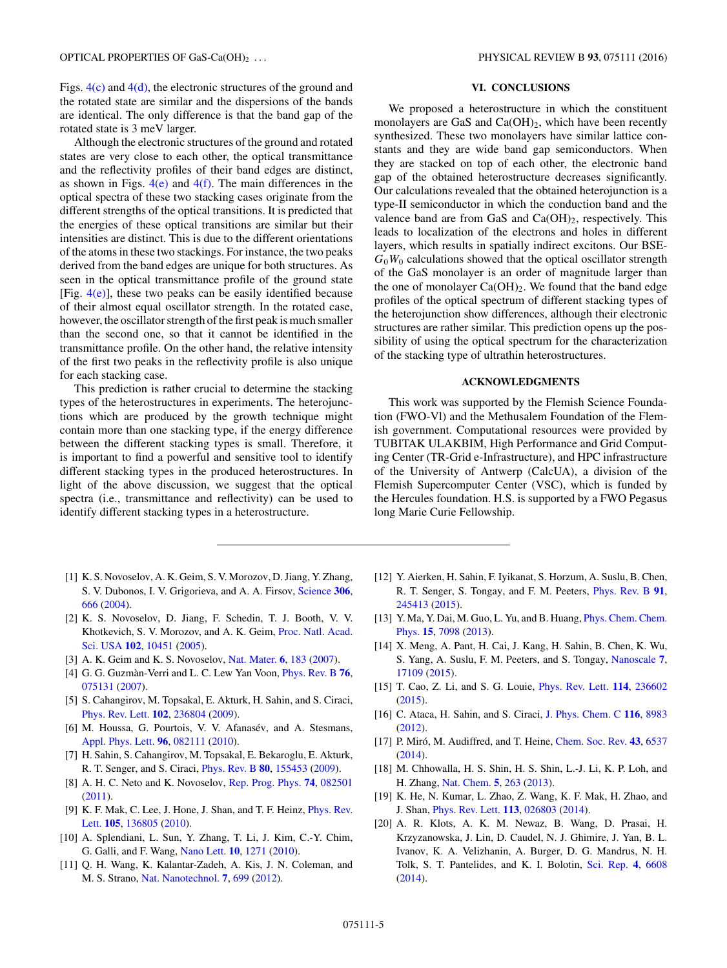<span id="page-4-0"></span>Figs. [4\(c\)](#page-3-0) and [4\(d\),](#page-3-0) the electronic structures of the ground and the rotated state are similar and the dispersions of the bands are identical. The only difference is that the band gap of the rotated state is 3 meV larger.

Although the electronic structures of the ground and rotated states are very close to each other, the optical transmittance and the reflectivity profiles of their band edges are distinct, as shown in Figs.  $4(e)$  and  $4(f)$ . The main differences in the optical spectra of these two stacking cases originate from the different strengths of the optical transitions. It is predicted that the energies of these optical transitions are similar but their intensities are distinct. This is due to the different orientations of the atoms in these two stackings. For instance, the two peaks derived from the band edges are unique for both structures. As seen in the optical transmittance profile of the ground state [Fig.  $4(e)$ ], these two peaks can be easily identified because of their almost equal oscillator strength. In the rotated case, however, the oscillator strength of the first peak is much smaller than the second one, so that it cannot be identified in the transmittance profile. On the other hand, the relative intensity of the first two peaks in the reflectivity profile is also unique for each stacking case.

This prediction is rather crucial to determine the stacking types of the heterostructures in experiments. The heterojunctions which are produced by the growth technique might contain more than one stacking type, if the energy difference between the different stacking types is small. Therefore, it is important to find a powerful and sensitive tool to identify different stacking types in the produced heterostructures. In light of the above discussion, we suggest that the optical spectra (i.e., transmittance and reflectivity) can be used to identify different stacking types in a heterostructure.

# **VI. CONCLUSIONS**

We proposed a heterostructure in which the constituent monolayers are GaS and  $Ca(OH)_2$ , which have been recently synthesized. These two monolayers have similar lattice constants and they are wide band gap semiconductors. When they are stacked on top of each other, the electronic band gap of the obtained heterostructure decreases significantly. Our calculations revealed that the obtained heterojunction is a type-II semiconductor in which the conduction band and the valence band are from GaS and  $Ca(OH)_2$ , respectively. This leads to localization of the electrons and holes in different layers, which results in spatially indirect excitons. Our BSE- $G_0W_0$  calculations showed that the optical oscillator strength of the GaS monolayer is an order of magnitude larger than the one of monolayer  $Ca(OH)_{2}$ . We found that the band edge profiles of the optical spectrum of different stacking types of the heterojunction show differences, although their electronic structures are rather similar. This prediction opens up the possibility of using the optical spectrum for the characterization of the stacking type of ultrathin heterostructures.

## **ACKNOWLEDGMENTS**

This work was supported by the Flemish Science Foundation (FWO-Vl) and the Methusalem Foundation of the Flemish government. Computational resources were provided by TUBITAK ULAKBIM, High Performance and Grid Computing Center (TR-Grid e-Infrastructure), and HPC infrastructure of the University of Antwerp (CalcUA), a division of the Flemish Supercomputer Center (VSC), which is funded by the Hercules foundation. H.S. is supported by a FWO Pegasus long Marie Curie Fellowship.

- [1] K. S. Novoselov, A. K. Geim, S. V. Morozov, D. Jiang, Y. Zhang, S. V. Dubonos, I. V. Grigorieva, and A. A. Firsov, [Science](http://dx.doi.org/10.1126/science.1102896) **[306](http://dx.doi.org/10.1126/science.1102896)**, [666](http://dx.doi.org/10.1126/science.1102896) [\(2004\)](http://dx.doi.org/10.1126/science.1102896).
- [2] K. S. Novoselov, D. Jiang, F. Schedin, T. J. Booth, V. V. [Khotkevich, S. V. Morozov, and A. K. Geim,](http://dx.doi.org/10.1073/pnas.0502848102) Proc. Natl. Acad. Sci. USA **[102](http://dx.doi.org/10.1073/pnas.0502848102)**, [10451](http://dx.doi.org/10.1073/pnas.0502848102) [\(2005\)](http://dx.doi.org/10.1073/pnas.0502848102).
- [3] A. K. Geim and K. S. Novoselov, [Nat. Mater.](http://dx.doi.org/10.1038/nmat1849) **[6](http://dx.doi.org/10.1038/nmat1849)**, [183](http://dx.doi.org/10.1038/nmat1849) [\(2007\)](http://dx.doi.org/10.1038/nmat1849).
- [4] G. G. Guzmàn-Verri and L. C. Lew Yan Voon, *[Phys. Rev. B](http://dx.doi.org/10.1103/PhysRevB.76.075131)* [76](http://dx.doi.org/10.1103/PhysRevB.76.075131), [075131](http://dx.doi.org/10.1103/PhysRevB.76.075131) [\(2007\)](http://dx.doi.org/10.1103/PhysRevB.76.075131).
- [5] S. Cahangirov, M. Topsakal, E. Akturk, H. Sahin, and S. Ciraci, [Phys. Rev. Lett.](http://dx.doi.org/10.1103/PhysRevLett.102.236804) **[102](http://dx.doi.org/10.1103/PhysRevLett.102.236804)**, [236804](http://dx.doi.org/10.1103/PhysRevLett.102.236804) [\(2009\)](http://dx.doi.org/10.1103/PhysRevLett.102.236804).
- [6] M. Houssa, G. Pourtois, V. V. Afanasév, and A. Stesmans, [Appl. Phys. Lett.](http://dx.doi.org/10.1063/1.3332588) **[96](http://dx.doi.org/10.1063/1.3332588)**, [082111](http://dx.doi.org/10.1063/1.3332588) [\(2010\)](http://dx.doi.org/10.1063/1.3332588).
- [7] H. Sahin, S. Cahangirov, M. Topsakal, E. Bekaroglu, E. Akturk, R. T. Senger, and S. Ciraci, [Phys. Rev. B](http://dx.doi.org/10.1103/PhysRevB.80.155453) **[80](http://dx.doi.org/10.1103/PhysRevB.80.155453)**, [155453](http://dx.doi.org/10.1103/PhysRevB.80.155453) [\(2009\)](http://dx.doi.org/10.1103/PhysRevB.80.155453).
- [8] A. H. C. Neto and K. Novoselov, [Rep. Prog. Phys.](http://dx.doi.org/10.1088/0034-4885/74/8/082501) **[74](http://dx.doi.org/10.1088/0034-4885/74/8/082501)**, [082501](http://dx.doi.org/10.1088/0034-4885/74/8/082501) [\(2011\)](http://dx.doi.org/10.1088/0034-4885/74/8/082501).
- [9] [K. F. Mak, C. Lee, J. Hone, J. Shan, and T. F. Heinz,](http://dx.doi.org/10.1103/PhysRevLett.105.136805) *Phys. Rev.* Lett. **[105](http://dx.doi.org/10.1103/PhysRevLett.105.136805)**, [136805](http://dx.doi.org/10.1103/PhysRevLett.105.136805) [\(2010\)](http://dx.doi.org/10.1103/PhysRevLett.105.136805).
- [10] A. Splendiani, L. Sun, Y. Zhang, T. Li, J. Kim, C.-Y. Chim, G. Galli, and F. Wang, [Nano Lett.](http://dx.doi.org/10.1021/nl903868w) **[10](http://dx.doi.org/10.1021/nl903868w)**, [1271](http://dx.doi.org/10.1021/nl903868w) [\(2010\)](http://dx.doi.org/10.1021/nl903868w).
- [11] Q. H. Wang, K. Kalantar-Zadeh, A. Kis, J. N. Coleman, and M. S. Strano, [Nat. Nanotechnol.](http://dx.doi.org/10.1038/nnano.2012.193) **[7](http://dx.doi.org/10.1038/nnano.2012.193)**, [699](http://dx.doi.org/10.1038/nnano.2012.193) [\(2012\)](http://dx.doi.org/10.1038/nnano.2012.193).
- [12] Y. Aierken, H. Sahin, F. Iyikanat, S. Horzum, A. Suslu, B. Chen, R. T. Senger, S. Tongay, and F. M. Peeters, [Phys. Rev. B](http://dx.doi.org/10.1103/PhysRevB.91.245413) **[91](http://dx.doi.org/10.1103/PhysRevB.91.245413)**, [245413](http://dx.doi.org/10.1103/PhysRevB.91.245413) [\(2015\)](http://dx.doi.org/10.1103/PhysRevB.91.245413).
- [13] [Y. Ma, Y. Dai, M. Guo, L. Yu, and B. Huang,](http://dx.doi.org/10.1039/c3cp50233c) *Phys. Chem. Chem.* Phys. **[15](http://dx.doi.org/10.1039/c3cp50233c)**, [7098](http://dx.doi.org/10.1039/c3cp50233c) [\(2013\)](http://dx.doi.org/10.1039/c3cp50233c).
- [14] X. Meng, A. Pant, H. Cai, J. Kang, H. Sahin, B. Chen, K. Wu, S. Yang, A. Suslu, F. M. Peeters, and S. Tongay, [Nanoscale](http://dx.doi.org/10.1039/C5NR04879F) **[7](http://dx.doi.org/10.1039/C5NR04879F)**, [17109](http://dx.doi.org/10.1039/C5NR04879F) [\(2015\)](http://dx.doi.org/10.1039/C5NR04879F).
- [15] T. Cao, Z. Li, and S. G. Louie, [Phys. Rev. Lett.](http://dx.doi.org/10.1103/PhysRevLett.114.236602) **[114](http://dx.doi.org/10.1103/PhysRevLett.114.236602)**, [236602](http://dx.doi.org/10.1103/PhysRevLett.114.236602) [\(2015\)](http://dx.doi.org/10.1103/PhysRevLett.114.236602).
- [16] C. Ataca, H. Sahin, and S. Ciraci, [J. Phys. Chem. C](http://dx.doi.org/10.1021/jp212558p) **[116](http://dx.doi.org/10.1021/jp212558p)**, [8983](http://dx.doi.org/10.1021/jp212558p) [\(2012\)](http://dx.doi.org/10.1021/jp212558p).
- [17] P. Miró, M. Audiffred, and T. Heine, *[Chem. Soc. Rev.](http://dx.doi.org/10.1039/C4CS00102H)* **[43](http://dx.doi.org/10.1039/C4CS00102H)**, [6537](http://dx.doi.org/10.1039/C4CS00102H) [\(2014\)](http://dx.doi.org/10.1039/C4CS00102H).
- [18] M. Chhowalla, H. S. Shin, H. S. Shin, L.-J. Li, K. P. Loh, and H. Zhang, [Nat. Chem.](http://dx.doi.org/10.1038/nchem.1589) **[5](http://dx.doi.org/10.1038/nchem.1589)**, [263](http://dx.doi.org/10.1038/nchem.1589) [\(2013\)](http://dx.doi.org/10.1038/nchem.1589).
- [19] K. He, N. Kumar, L. Zhao, Z. Wang, K. F. Mak, H. Zhao, and J. Shan, [Phys. Rev. Lett.](http://dx.doi.org/10.1103/PhysRevLett.113.026803) **[113](http://dx.doi.org/10.1103/PhysRevLett.113.026803)**, [026803](http://dx.doi.org/10.1103/PhysRevLett.113.026803) [\(2014\)](http://dx.doi.org/10.1103/PhysRevLett.113.026803).
- [20] A. R. Klots, A. K. M. Newaz, B. Wang, D. Prasai, H. Krzyzanowska, J. Lin, D. Caudel, N. J. Ghimire, J. Yan, B. L. Ivanov, K. A. Velizhanin, A. Burger, D. G. Mandrus, N. H. Tolk, S. T. Pantelides, and K. I. Bolotin, [Sci. Rep.](http://dx.doi.org/10.1038/srep06608) **[4](http://dx.doi.org/10.1038/srep06608)**, [6608](http://dx.doi.org/10.1038/srep06608) [\(2014\)](http://dx.doi.org/10.1038/srep06608).